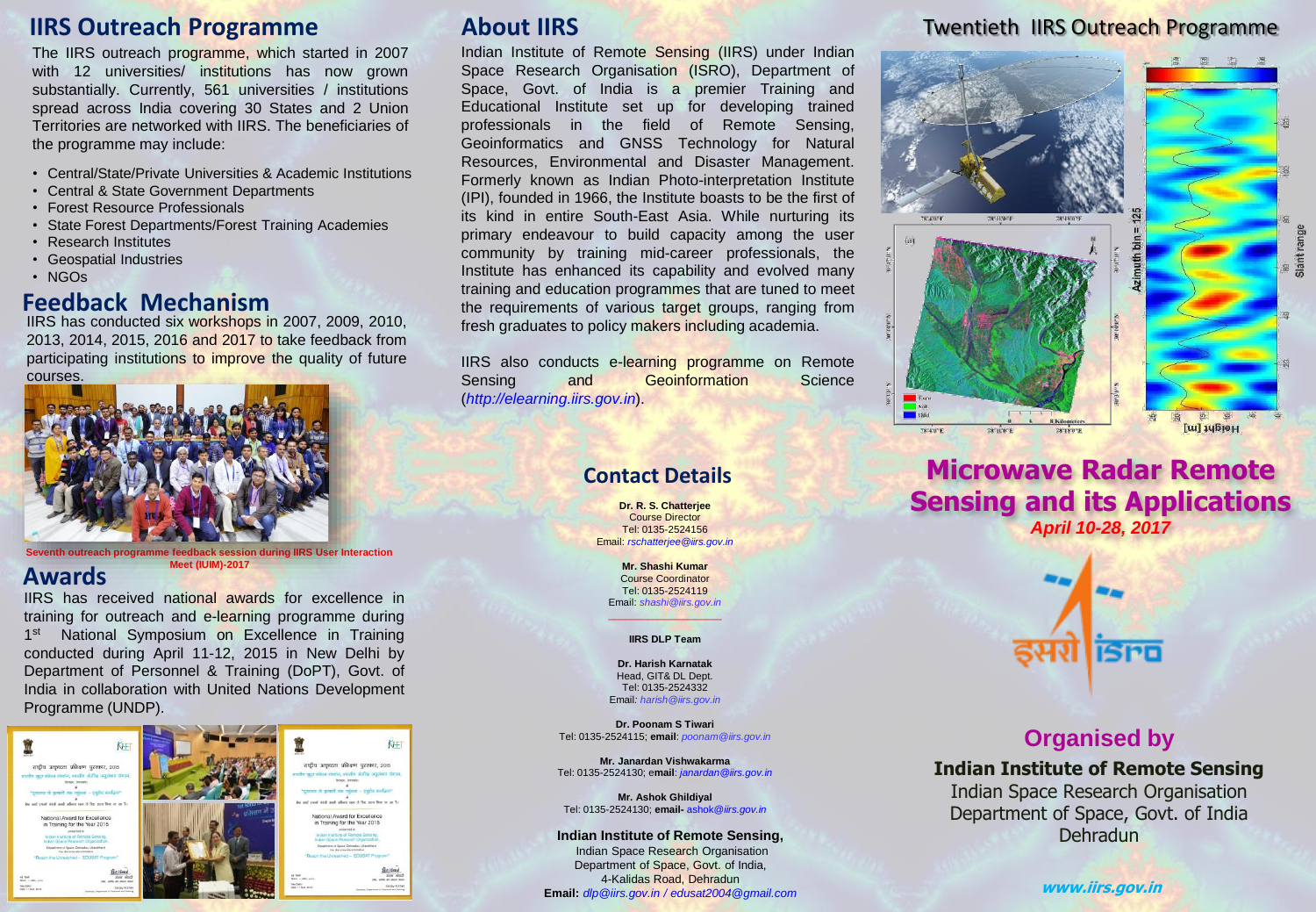## **IIRS Outreach Programme**

The IIRS outreach programme, which started in 2007 with 12 universities/ institutions has now grown substantially. Currently, 561 universities / institutions spread across India covering 30 States and 2 Union Territories are networked with IIRS. The beneficiaries of the programme may include:

- Central/State/Private Universities & Academic Institutions
- Central & State Government Departments
- Forest Resource Professionals
- State Forest Departments/Forest Training Academies
- Research Institutes
- Geospatial Industries
- NGOs

#### **Feedback Mechanism**

IIRS has conducted six workshops in 2007, 2009, 2010, 2013, 2014, 2015, 2016 and 2017 to take feedback from participating institutions to improve the quality of future courses.



**Seventh outreach programme feedback session during IIRS User Interaction Meet (IUIM)-2017**

#### **Awards**

IIRS has received national awards for excellence in training for outreach and e-learning programme during 1<sup>st</sup> National Symposium on Excellence in Training conducted during April 11-12, 2015 in New Delhi by Department of Personnel & Training (DoPT), Govt. of India in collaboration with United Nations Development Programme (UNDP).



# **About IIRS**

Indian Institute of Remote Sensing (IIRS) under Indian Space Research Organisation (ISRO), Department of Space, Govt. of India is a premier Training and Educational Institute set up for developing trained professionals in the field of Remote Sensing, Geoinformatics and GNSS Technology for Natural Resources, Environmental and Disaster Management. Formerly known as Indian Photo-interpretation Institute (IPI), founded in 1966, the Institute boasts to be the first of its kind in entire South-East Asia. While nurturing its primary endeavour to build capacity among the user community by training mid-career professionals, the Institute has enhanced its capability and evolved many training and education programmes that are tuned to meet the requirements of various target groups, ranging from fresh graduates to policy makers including academia.

IIRS also conducts e-learning programme on Remote Sensing and Geoinformation Science (*http://elearning.iirs.gov.in*).

#### **Contact Details**

**Dr. R. S. Chatterjee** Course Director Tel: 0135-2524156 Email: *rschatterjee@iirs.gov.in*

**Mr. Shashi Kumar** Course Coordinator Tel: 0135-2524119 Email: *shashi@iirs.gov.in*

#### $\overline{\phantom{a}}$ **IIRS DLP Team**

**Dr. Harish Karnatak** Head, GIT& DL Dept. Tel: 0135-2524332 Email*: harish@iirs.gov.in*

**Dr. Poonam S Tiwari** Tel: 0135-2524115; **email**: *poonam@iirs.gov.in*

**Mr. Janardan Vishwakarma** Tel: 0135-2524130; e**mail**: *janardan@iirs.gov.in*

**Mr. Ashok Ghildiyal** Tel: 0135-2524130; **email-** ashok@*iirs.gov.in*

**Indian Institute of Remote Sensing,** Indian Space Research Organisation Department of Space, Govt. of India, 4-Kalidas Road, Dehradun **Email:** *dlp@iirs.gov.in / edusat2004@gmail.com*

### Twentieth IIRS Outreach Programme



## **Microwave Radar Remote Sensing and its Applications** *April 10-28, 2017*



## **Organised by**

**Indian Institute of Remote Sensing** Indian Space Research Organisation Department of Space, Govt. of India Dehradun

**www.iirs.gov.in**